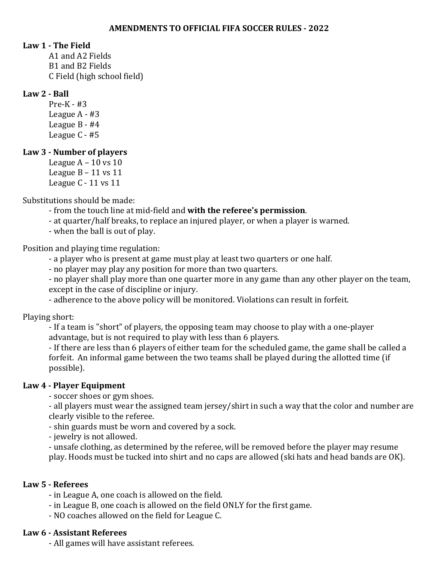#### **Law 1 - The Field**

A1 and A2 Fields B1 and B2 Fields C Field (high school field)

### **Law 2 - Ball**

 $Pre-K - #3$ League  $A - #3$ League  $B - #4$ League  $C - #5$ 

### **Law 3 - Number of players**

League  $A - 10$  vs  $10$ League  $B - 11$  vs  $11$ League  $C - 11$  vs  $11$ 

Substitutions should be made:

- from the touch line at mid-field and with the referee's permission.

- at quarter/half breaks, to replace an injured player, or when a player is warned.

- when the ball is out of play.

Position and playing time regulation:

- a player who is present at game must play at least two quarters or one half.

- no player may play any position for more than two quarters.

- no player shall play more than one quarter more in any game than any other player on the team, except in the case of discipline or injury.

- adherence to the above policy will be monitored. Violations can result in forfeit.

Playing short:

- If a team is "short" of players, the opposing team may choose to play with a one-player advantage, but is not required to play with less than 6 players.

- If there are less than 6 players of either team for the scheduled game, the game shall be called a forfeit. An informal game between the two teams shall be played during the allotted time (if possible).

### **Law 4 - Player Equipment**

- soccer shoes or gym shoes.

- all players must wear the assigned team jersey/shirt in such a way that the color and number are clearly visible to the referee.

- shin guards must be worn and covered by a sock.

- jewelry is not allowed.

- unsafe clothing, as determined by the referee, will be removed before the player may resume play. Hoods must be tucked into shirt and no caps are allowed (ski hats and head bands are OK).

### **Law 5 - Referees**

- in League A, one coach is allowed on the field.
- in League B, one coach is allowed on the field ONLY for the first game.
- NO coaches allowed on the field for League C.

#### **Law 6 - Assistant Referees**

- All games will have assistant referees.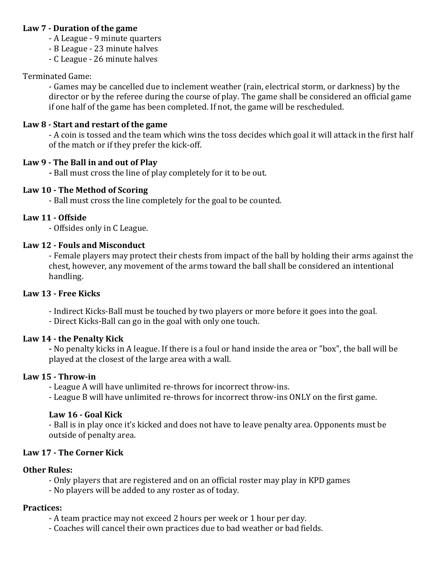### Law 7 - Duration of the game

- A League 9 minute quarters
- B League 23 minute halves
- C League 26 minute halves

### Terminated Game:

- Games may be cancelled due to inclement weather (rain, electrical storm, or darkness) by the director or by the referee during the course of play. The game shall be considered an official game if one half of the game has been completed. If not, the game will be rescheduled.

### Law 8 - Start and restart of the game

- A coin is tossed and the team which wins the toss decides which goal it will attack in the first half of the match or if they prefer the kick-off.

### Law 9 - The Ball in and out of Play

- Ball must cross the line of play completely for it to be out.

## Law 10 - The Method of Scoring

- Ball must cross the line completely for the goal to be counted.

## **Law 11 - Offside**

- Offsides only in C League.

## **Law 12 - Fouls and Misconduct**

- Female players may protect their chests from impact of the ball by holding their arms against the chest, however, any movement of the arms toward the ball shall be considered an intentional handling.

### **Law 13 - Free Kicks**

- Indirect Kicks-Ball must be touched by two players or more before it goes into the goal.

- Direct Kicks-Ball can go in the goal with only one touch.

### **Law 14 - the Penalty Kick**

**-** No penalty kicks in A league. If there is a foul or hand inside the area or "box", the ball will be played at the closest of the large area with a wall.

### **Law 15 - Throw-in**

- League A will have unlimited re-throws for incorrect throw-ins.

- League B will have unlimited re-throws for incorrect throw-ins ONLY on the first game.

### **Law 16 - Goal Kick**

- Ball is in play once it's kicked and does not have to leave penalty area. Opponents must be outside of penalty area.

# **Law 17 - The Corner Kick**

### **Other Rules:**

- Only players that are registered and on an official roster may play in KPD games
- No players will be added to any roster as of today.

### **Practices:**

- A team practice may not exceed 2 hours per week or 1 hour per day.
- Coaches will cancel their own practices due to bad weather or bad fields.